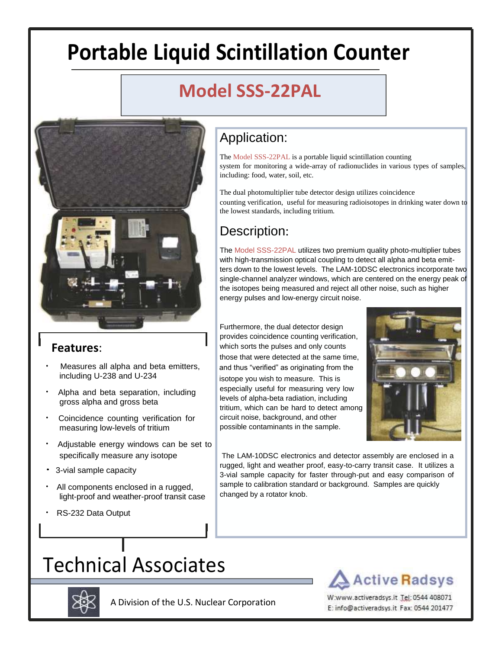# **Portable Liquid Scintillation Counter**

### **Model SSS-22PAL**



#### **Features**:

- Measures all alpha and beta emitters, including U-238 and U-234
- Alpha and beta separation, including gross alpha and gross beta
- Coincidence counting verification for measuring low-levels of tritium
- Adjustable energy windows can be set to specifically measure any isotope
- 3-vial sample capacity
- All components enclosed in a rugged, light-proof and weather-proof transit case
- RS-232 Data Output

### Application:

The Model SSS-22PAL is a portable liquid scintillation counting system for monitoring a wide-array of radionuclides in various types of samples, including: food, water, soil, etc.

The dual photomultiplier tube detector design utilizes coincidence counting verification, useful for measuring radioisotopes in drinking water down to the lowest standards, including tritium.

#### Description:

The Model SSS-22PAL utilizes two premium quality photo-multiplier tubes with high-transmission optical coupling to detect all alpha and beta emitters down to the lowest levels. The LAM-10DSC electronics incorporate two single-channel analyzer windows, which are centered on the energy peak of the isotopes being measured and reject all other noise, such as higher energy pulses and low-energy circuit noise.

Furthermore, the dual detector design provides coincidence counting verification, which sorts the pulses and only counts those that were detected at the same time, and thus "verified" as originating from the isotope you wish to measure. This is especially useful for measuring very low levels of alpha-beta radiation, including tritium, which can be hard to detect among circuit noise, background, and other possible contaminants in the sample.



The LAM-10DSC electronics and detector assembly are enclosed in a rugged, light and weather proof, easy-to-carry transit case. It utilizes a 3-vial sample capacity for faster through-put and easy comparison of sample to calibration standard or background. Samples are quickly changed by a rotator knob.

## Technical Associates



A Division of the U.S. Nuclear Corporation

W:www.activeradsys.it Tel: 0544 408071 E: info@activeradsys.it Fax: 0544 201477

**Active Radsys**